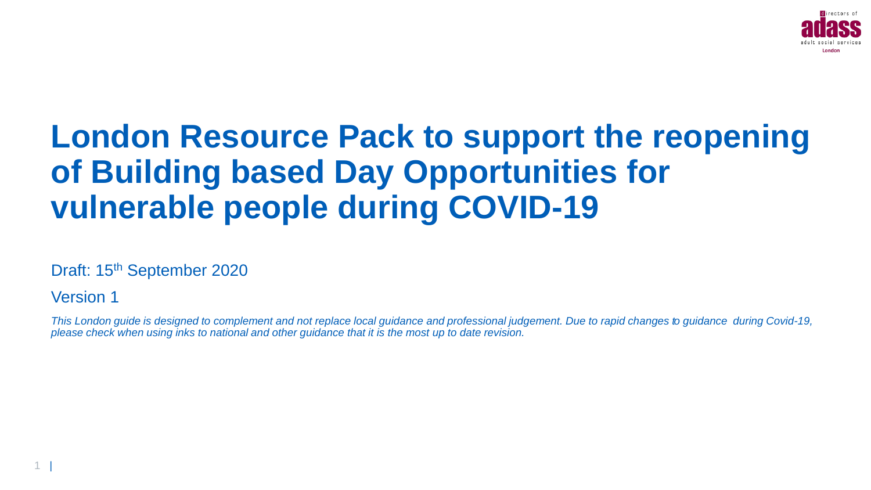

# **London Resource Pack to support the reopening of Building based Day Opportunities for vulnerable people during COVID-19**

Draft: 15<sup>th</sup> September 2020

Version 1

*This London guide is designed to complement and not replace local guidance and professional judgement. Due to rapid changes to guidance during Covid-19, please check when using inks to national and other guidance that it is the most up to date revision.*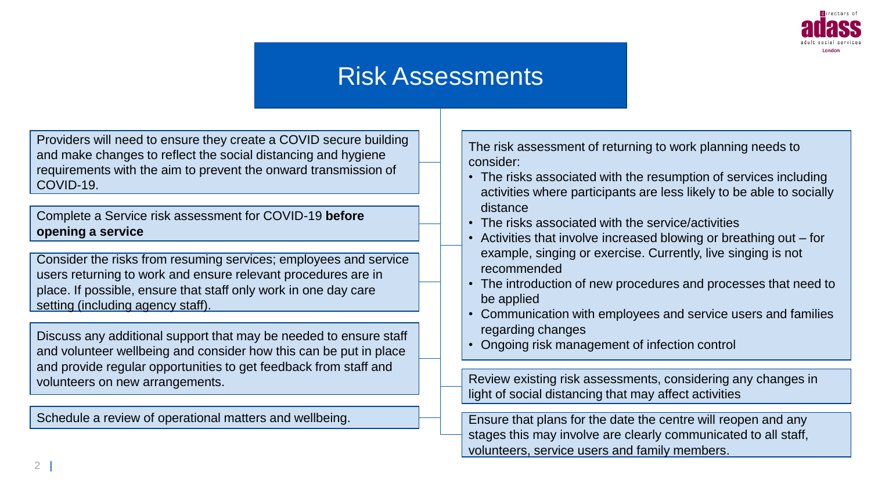

## Risk Assessments

Providers will need to ensure they create a COVID secure building and make changes to reflect the social distancing and hygiene requirements with the aim to prevent the onward transmission of COVID-19.

Complete a Service risk assessment for COVID-19 **before opening a service** 

Consider the risks from resuming services; employees and service users returning to work and ensure relevant procedures are in place. If possible, ensure that staff only work in one day care setting (including agency staff).

Discuss any additional support that may be needed to ensure staff and volunteer wellbeing and consider how this can be put in place and provide regular opportunities to get feedback from staff and volunteers on new arrangements.

Schedule a review of operational matters and wellbeing.

The risk assessment of returning to work planning needs to consider:

- The risks associated with the resumption of services including activities where participants are less likely to be able to socially distance
- The risks associated with the service/activities
- Activities that involve increased blowing or breathing out for example, singing or exercise. Currently, live singing is not recommended
- The introduction of new procedures and processes that need to be applied
- Communication with employees and service users and families regarding changes
- Ongoing risk management of infection control

Review existing risk assessments, considering any changes in light of social distancing that may affect activities

Ensure that plans for the date the centre will reopen and any stages this may involve are clearly communicated to all staff, volunteers, service users and family members.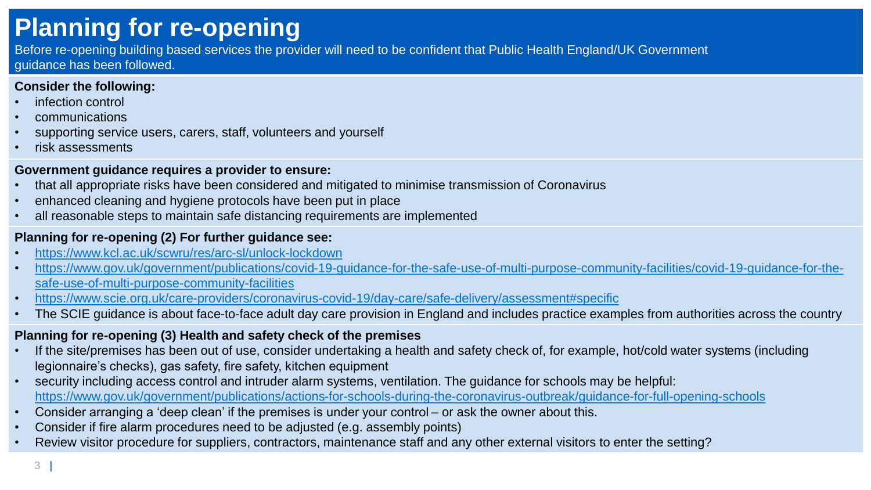# **Planning for re-opening**

Before re-opening building based services the provider will need to be confident that Public Health England/UK Government guidance has been followed.

#### **Consider the following:**

- infection control
- communications
- supporting service users, carers, staff, volunteers and yourself
- risk assessments

#### **Government guidance requires a provider to ensure:**

- that all appropriate risks have been considered and mitigated to minimise transmission of Coronavirus
- enhanced cleaning and hygiene protocols have been put in place
- all reasonable steps to maintain safe distancing requirements are implemented

#### **Planning for re-opening (2) For further guidance see:**

- <https://www.kcl.ac.uk/scwru/res/arc-sl/unlock-lockdown>
- [https://www.gov.uk/government/publications/covid-19-guidance-for-the-safe-use-of-multi-purpose-community-facilities/covid-19-guidance-for-the](https://www.gov.uk/government/publications/covid-19-guidance-for-the-safe-use-of-multi-purpose-community-facilities/covid-19-guidance-for-the-safe-use-of-multi-purpose-community-facilities)safe-use-of-multi-purpose-community-facilities
- <https://www.scie.org.uk/care-providers/coronavirus-covid-19/day-care/safe-delivery/assessment#specific>
- The SCIE guidance is about face-to-face adult day care provision in England and includes practice examples from authorities across the country

### **Planning for re-opening (3) Health and safety check of the premises**

- If the site/premises has been out of use, consider undertaking a health and safety check of, for example, hot/cold water systems (including legionnaire's checks), gas safety, fire safety, kitchen equipment
- security including access control and intruder alarm systems, ventilation. The guidance for schools may be helpful: <https://www.gov.uk/government/publications/actions-for-schools-during-the-coronavirus-outbreak/guidance-for-full-opening-schools>
- Consider arranging a 'deep clean' if the premises is under your control or ask the owner about this.
- Consider if fire alarm procedures need to be adjusted (e.g. assembly points)
- Review visitor procedure for suppliers, contractors, maintenance staff and any other external visitors to enter the setting?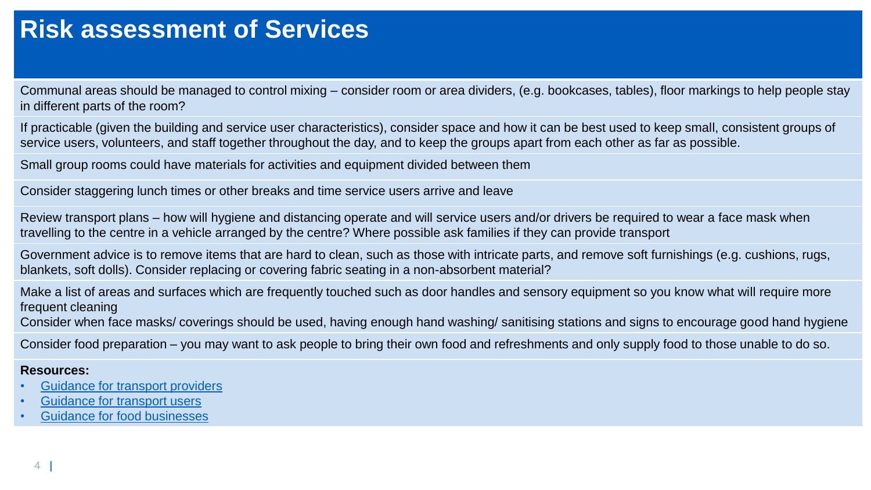## **Risk assessment of Services**

Communal areas should be managed to control mixing – consider room or area dividers, (e.g. bookcases, tables), floor markings to help people stay in different parts of the room?

If practicable (given the building and service user characteristics), consider space and how it can be best used to keep small, consistent groups of service users, volunteers, and staff together throughout the day, and to keep the groups apart from each other as far as possible.

Small group rooms could have materials for activities and equipment divided between them

Consider staggering lunch times or other breaks and time service users arrive and leave

Review transport plans – how will hygiene and distancing operate and will service users and/or drivers be required to wear a face mask when travelling to the centre in a vehicle arranged by the centre? Where possible ask families if they can provide transport

Government advice is to remove items that are hard to clean, such as those with intricate parts, and remove soft furnishings (e.g. cushions, rugs, blankets, soft dolls). Consider replacing or covering fabric seating in a non-absorbent material?

Make a list of areas and surfaces which are frequently touched such as door handles and sensory equipment so you know what will require more frequent cleaning

Consider when face masks/ coverings should be used, having enough hand washing/ sanitising stations and signs to encourage good hand hygiene

Consider food preparation – you may want to ask people to bring their own food and refreshments and only supply food to those unable to do so.

#### **Resources:**

- [Guidance for transport providers](https://www.gov.uk/government/publications/coronavirus-covid-19-safer-transport-guidance-for-operators/coronavirus-covid-19-safer-transport-guidance-for-operators)
- [Guidance for transport users](https://www.gov.uk/guidance/coronavirus-covid-19-safer-travel-guidance-for-passengers)
- [Guidance for food businesses](https://www.gov.uk/government/publications/covid-19-guidance-for-food-businesses/guidance-for-food-businesses-on-coronavirus-covid-19)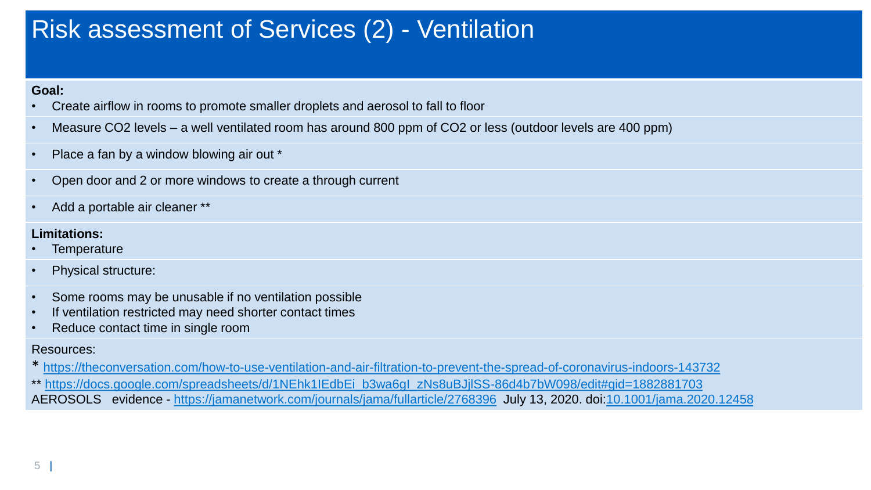# Risk assessment of Services (2) - Ventilation

#### **Goal:**

- Create airflow in rooms to promote smaller droplets and aerosol to fall to floor
- Measure CO2 levels a well ventilated room has around 800 ppm of CO2 or less (outdoor levels are 400 ppm)
- Place a fan by a window blowing air out \*
- Open door and 2 or more windows to create a through current
- Add a portable air cleaner \*\*

#### **Limitations:**

- **Temperature**
- Physical structure:
- Some rooms may be unusable if no ventilation possible
- If ventilation restricted may need shorter contact times
- Reduce contact time in single room

#### Resources:

\* <https://theconversation.com/how-to-use-ventilation-and-air-filtration-to-prevent-the-spread-of-coronavirus-indoors-143732>

\*\* [https://docs.google.com/spreadsheets/d/1NEhk1IEdbEi\\_b3wa6gI\\_zNs8uBJjlSS-86d4b7bW098/edit#gid=1882881703](https://docs.google.com/spreadsheets/d/1NEhk1IEdbEi_b3wa6gI_zNs8uBJjlSS-86d4b7bW098/edit#gid=1882881703)

AEROSOLS evidence - <https://jamanetwork.com/journals/jama/fullarticle/2768396> July 13, 2020. doi[:10.1001/jama.2020.12458](http://jamanetwork.com/article.aspx?doi=10.1001/jama.2020.12458)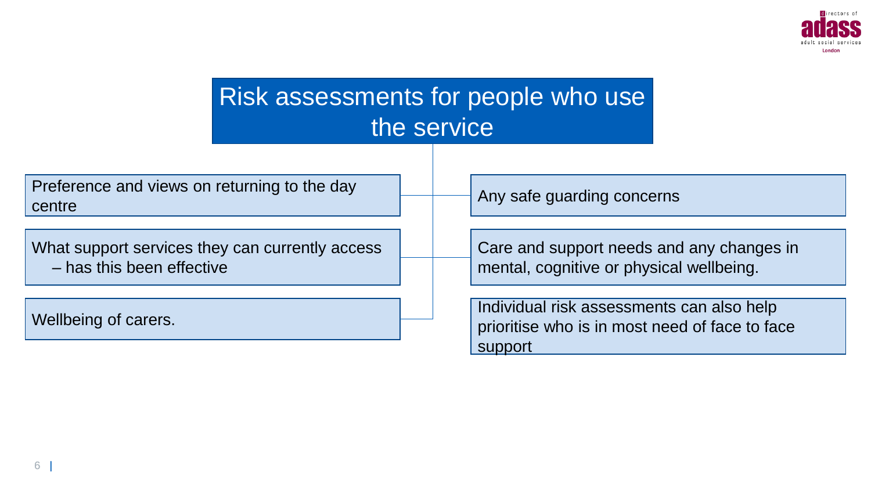

| Risk assessments for people who use<br>the service                           |                                                                                                        |
|------------------------------------------------------------------------------|--------------------------------------------------------------------------------------------------------|
| Preference and views on returning to the day<br>centre                       | Any safe guarding concerns                                                                             |
| What support services they can currently access<br>- has this been effective | Care and support needs and any changes in<br>mental, cognitive or physical wellbeing.                  |
| Wellbeing of carers.                                                         | Individual risk assessments can also help<br>prioritise who is in most need of face to face<br>support |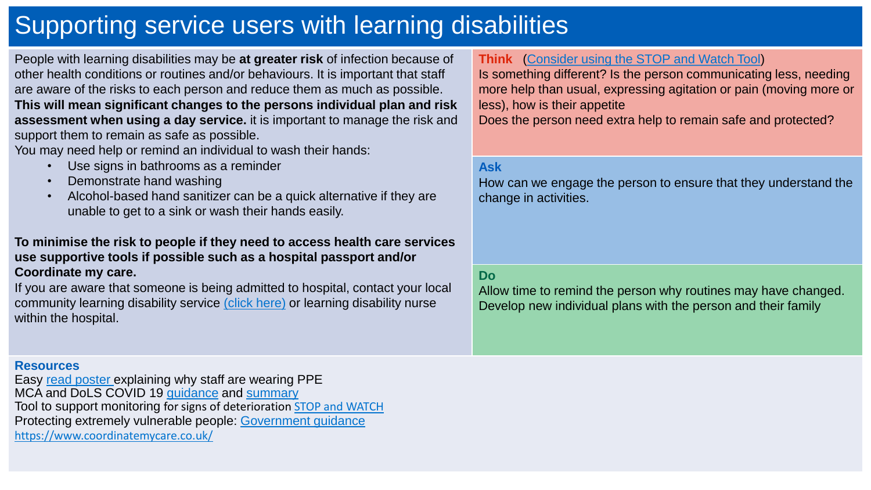# Supporting service users with learning disabilities

People with learning disabilities may be **at greater risk** of infection because of other health conditions or routines and/or behaviours. It is important that staff are aware of the risks to each person and reduce them as much as possible. **This will mean significant changes to the persons individual plan and risk assessment when using a day service.** it is important to manage the risk and support them to remain as safe as possible.

You may need help or remind an individual to wash their hands:

- Use signs in bathrooms as a reminder
- Demonstrate hand washing
- Alcohol-based hand sanitizer can be a quick alternative if they are unable to get to a sink or wash their hands easily.

#### **To minimise the risk to people if they need to access health care services use supportive tools if possible such as a hospital passport and/or Coordinate my care.**

If you are aware that someone is being admitted to hospital, contact your local community learning disability service [\(click here\)](https://www.england.nhs.uk/london/london-clinical-networks/our-networks/learning-disabilities/publications/) or learning disability nurse within the hospital.

### **Resources**

Easy [read poster](https://www.keepsafe.org.uk/resources/why-we-wear-ppe-poster) explaining why staff are wearing PPE MCA and DoLS COVID 19 [guidance](https://www.gov.uk/government/publications/coronavirus-covid-19-looking-after-people-who-lack-mental-capacity?utm_source=a4a3d322-fbe7-424e-bc47-ed85741782a8&utm_medium=email&utm_campaign=govuk-notifications&utm_content=immediate) and [summary](https://www.mentalcapacitylawandpolicy.org.uk/dols-dhsc-guidance-published/) Tool to support monitoring for signs of deterioration [STOP and WATCH](https://northcumbriaccg.nhs.uk/your-health/campaigns/stop-and-watch-resources) Protecting extremely vulnerable people: [Government guidance](https://www.gov.uk/government/publications/guidance-on-shielding-and-protecting-extremely-vulnerable-persons-from-covid-19/guidance-on-shielding-and-protecting-extremely-vulnerable-persons-from-covid-19) <https://www.coordinatemycare.co.uk/>

### **Think** ([Consider using the STOP and Watch Tool](https://www.ncic.nhs.uk/application/files/8915/7779/8829/stop-and-watch-leaflet.pdf))

Is something different? Is the person communicating less, needing more help than usual, expressing agitation or pain (moving more or less), how is their appetite

Does the person need extra help to remain safe and protected?

#### **Ask**

How can we engage the person to ensure that they understand the change in activities.

#### **Do**

Allow time to remind the person why routines may have changed. Develop new individual plans with the person and their family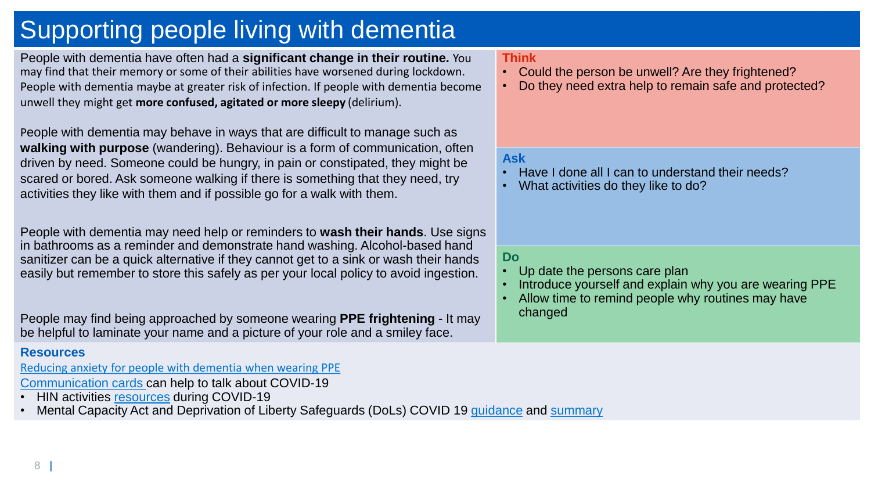# Supporting people living with dementia

People with dementia have often had a **significant change in their routine.** You may find that their memory or some of their abilities have worsened during lockdown. People with dementia maybe at greater risk of infection. If people with dementia become unwell they might get **more confused, agitated or more sleepy** (delirium).

People with dementia may behave in ways that are difficult to manage such as **walking with purpose** (wandering). Behaviour is a form of communication, often driven by need. Someone could be hungry, in pain or constipated, they might be scared or bored. Ask someone walking if there is something that they need, try activities they like with them and if possible go for a walk with them.

People with dementia may need help or reminders to **wash their hands**. Use signs in bathrooms as a reminder and demonstrate hand washing. Alcohol-based hand sanitizer can be a quick alternative if they cannot get to a sink or wash their hands easily but remember to store this safely as per your local policy to avoid ingestion.

People may find being approached by someone wearing **PPE frightening** - It may be helpful to laminate your name and a picture of your role and a smiley face.

## **Resources**

[Reducing anxiety for people with dementia when wearing PPE](https://www.nhsaaa.net/media/8922/8-impact-of-ppe-on-individuals-with-dementia.pdf)

[Communication cards](http://nebula.wsimg.com/62159566dcd305437153f3e0a8cc0166?AccessKeyId=5861B1733117182DC99B&disposition=0&alloworigin=1) can help to talk about COVID-19

• HIN activities [resources](https://healthinnovationnetwork.com/wp-content/uploads/2020/04/Maintaining-Activities-for-Older-Adults-during-COVID19.pdf) during COVID-19

Mental Capacity Act and Deprivation of Liberty Safeguards (DoLs) COVID 19 [guidance](https://www.gov.uk/government/publications/coronavirus-covid-19-looking-after-people-who-lack-mental-capacity?utm_source=a4a3d322-fbe7-424e-bc47-ed85741782a8&utm_medium=email&utm_campaign=govuk-notifications&utm_content=immediate) and [summary](https://www.mentalcapacitylawandpolicy.org.uk/dols-dhsc-guidance-published/)

#### **Think**

- Could the person be unwell? Are they frightened?
- Do they need extra help to remain safe and protected?

## **Ask**

- Have I done all I can to understand their needs?
- What activities do they like to do?

#### **Do**

- Up date the persons care plan
- Introduce yourself and explain why you are wearing PPE
- Allow time to remind people why routines may have changed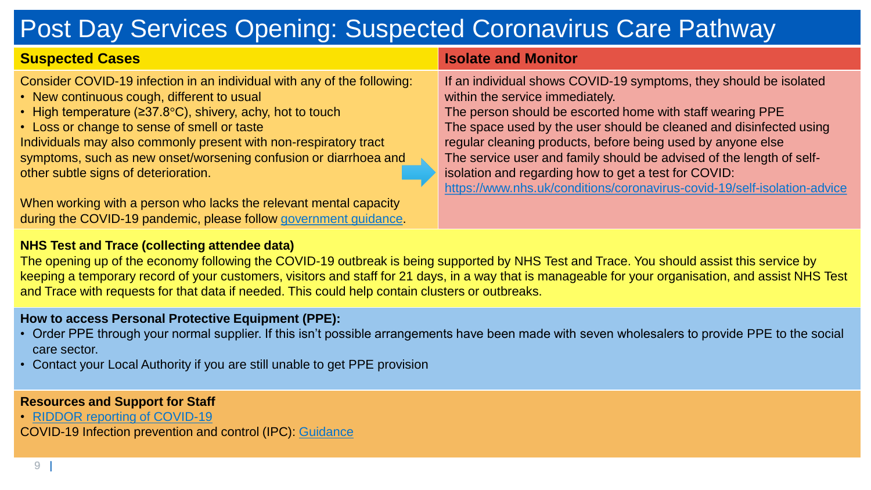# Post Day Services Opening: Suspected Coronavirus Care Pathway

| <b>Suspected Cases</b>                                                                                                                                                                                                                                                                                                                                                                                                           | <b>Isolate and Monitor</b>                                                                                                                                                                                                                                                                                                                                                                                                                                                                                         |
|----------------------------------------------------------------------------------------------------------------------------------------------------------------------------------------------------------------------------------------------------------------------------------------------------------------------------------------------------------------------------------------------------------------------------------|--------------------------------------------------------------------------------------------------------------------------------------------------------------------------------------------------------------------------------------------------------------------------------------------------------------------------------------------------------------------------------------------------------------------------------------------------------------------------------------------------------------------|
| Consider COVID-19 infection in an individual with any of the following:<br>• New continuous cough, different to usual<br>• High temperature ( $\geq 37.8^{\circ}$ C), shivery, achy, hot to touch<br>• Loss or change to sense of smell or taste<br>Individuals may also commonly present with non-respiratory tract<br>symptoms, such as new onset/worsening confusion or diarrhoea and<br>other subtle signs of deterioration. | If an individual shows COVID-19 symptoms, they should be isolated<br>within the service immediately.<br>The person should be escorted home with staff wearing PPE<br>The space used by the user should be cleaned and disinfected using<br>regular cleaning products, before being used by anyone else<br>The service user and family should be advised of the length of self-<br>isolation and regarding how to get a test for COVID:<br>https://www.nhs.uk/conditions/coronavirus-covid-19/self-isolation-advice |
| When working with a person who lacks the relevant mental capacity<br>during the COVID-19 pandemic, please follow government guidance.                                                                                                                                                                                                                                                                                            |                                                                                                                                                                                                                                                                                                                                                                                                                                                                                                                    |

#### **NHS Test and Trace (collecting attendee data)**

The opening up of the economy following the COVID-19 outbreak is being supported by NHS Test and Trace. You should assist this service by keeping a temporary record of your customers, visitors and staff for 21 days, in a way that is manageable for your organisation, and assist NHS Test and Trace with requests for that data if needed. This could help contain clusters or outbreaks.

#### **How to access Personal Protective Equipment (PPE):**

- Order PPE through your normal supplier. If this isn't possible arrangements have been made with seven wholesalers to provide PPE to the social care sector.
- Contact your Local Authority if you are still unable to get PPE provision

#### **Resources and Support for Staff**

• [RIDDOR reporting of COVID-19](https://www.hse.gov.uk/news/riddor-reporting-coronavirus.htm)

COVID-19 Infection prevention and control (IPC): [Guidance](https://www.gov.uk/government/publications/wuhan-novel-coronavirus-infection-prevention-and-control#history)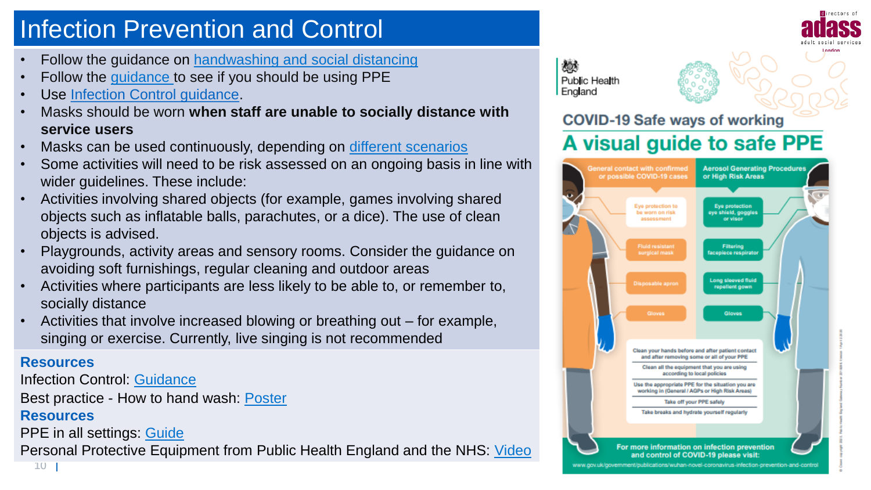# Infection Prevention and Control

- Follow the guidance on [handwashing and social distancing](https://www.nice.org.uk/about/nice-communities/social-care/quick-guides/helping-to-prevent-infection)
- Follow the [guidance t](https://assets.publishing.service.gov.uk/government/uploads/system/uploads/attachment_data/file/880094/PHE_11651_COVID-19_How_to_work_safely_in_care_homes.pdf)o see if you should be using PPE
- Use [Infection Control guidance.](https://www.nice.org.uk/about/nice-communities/social-care/quick-guides/helping-to-prevent-infection)
- Masks should be worn **when staff are unable to socially distance with service users**
- Masks can be used continuously, depending on [different scenarios](https://www.gov.uk/government/publications/covid-19-how-to-work-safely-in-care-homes)
- Some activities will need to be risk assessed on an ongoing basis in line with wider guidelines. These include:
- Activities involving shared objects (for example, games involving shared objects such as inflatable balls, parachutes, or a dice). The use of clean objects is advised.
- Playgrounds, activity areas and sensory rooms. Consider the guidance on avoiding soft furnishings, regular cleaning and outdoor areas
- Activities where participants are less likely to be able to, or remember to, socially distance
- Activities that involve increased blowing or breathing out for example, singing or exercise. Currently, live singing is not recommended

## **Resources**

Infection Control: [Guidance](https://www.nice.org.uk/about/nice-communities/social-care/quick-guides/helping-to-prevent-infection) Best practice - How to hand wash: [Poster](https://assets.publishing.service.gov.uk/government/uploads/system/uploads/attachment_data/file/886217/Best_practice_hand_wash.pdf) **Resources**

PPE in all settings: [Guide](https://www.gov.uk/government/publications/wuhan-novel-coronavirus-infection-prevention-and-control/covid-19-personal-protective-equipment-ppe)

Personal Protective Equipment from Public Health England and the NHS: [Video](https://www.youtube.com/watch?v=ozY50PPmsvE&feature=youtu.be)





## **COVID-19 Safe ways of working**

## A visual guide to safe PPE

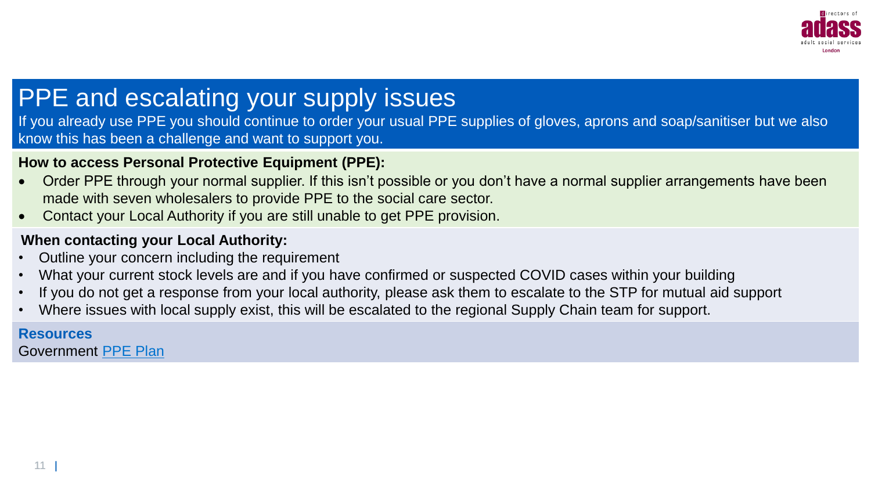

# PPE and escalating your supply issues

If you already use PPE you should continue to order your usual PPE supplies of gloves, aprons and soap/sanitiser but we also know this has been a challenge and want to support you.

## **How to access Personal Protective Equipment (PPE):**

- Order PPE through your normal supplier. If this isn't possible or you don't have a normal supplier arrangements have been made with seven wholesalers to provide PPE to the social care sector.
- Contact your Local Authority if you are still unable to get PPE provision.

## **When contacting your Local Authority:**

- Outline your concern including the requirement
- What your current stock levels are and if you have confirmed or suspected COVID cases within your building
- If you do not get a response from your local authority, please ask them to escalate to the STP for mutual aid support
- Where issues with local supply exist, this will be escalated to the regional Supply Chain team for support.

## **Resources**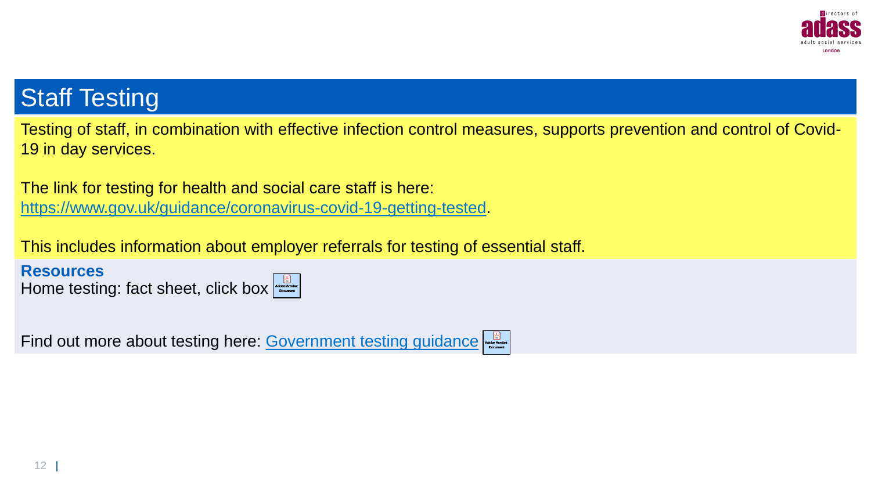

## **Staff Testing**

Testing of staff, in combination with effective infection control measures, supports prevention and control of Covid-19 in day services.

The link for testing for health and social care staff is here: <https://www.gov.uk/guidance/coronavirus-covid-19-getting-tested>.

This includes information about employer referrals for testing of essential staff.

**Resources** Home testing: fact sheet, click box

Find out more about testing here: [Government testing guidance](https://www.gov.uk/guidance/coronavirus-covid-19-getting-tested)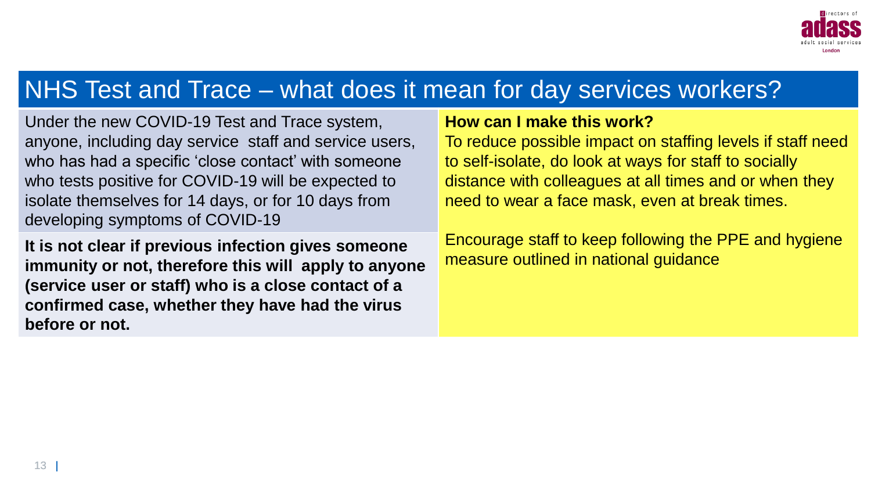

## NHS Test and Trace – what does it mean for day services workers?

Under the new COVID-19 Test and Trace system, anyone, including day service staff and service users, who has had a specific 'close contact' with someone who tests positive for COVID-19 will be expected to isolate themselves for 14 days, or for 10 days from developing symptoms of COVID-19

**It is not clear if previous infection gives someone immunity or not, therefore this will apply to anyone (service user or staff) who is a close contact of a confirmed case, whether they have had the virus before or not.**

## **How can I make this work?**

To reduce possible impact on staffing levels if staff need to self-isolate, do look at ways for staff to socially distance with colleagues at all times and or when they need to wear a face mask, even at break times.

Encourage staff to keep following the PPE and hygiene measure outlined in national guidance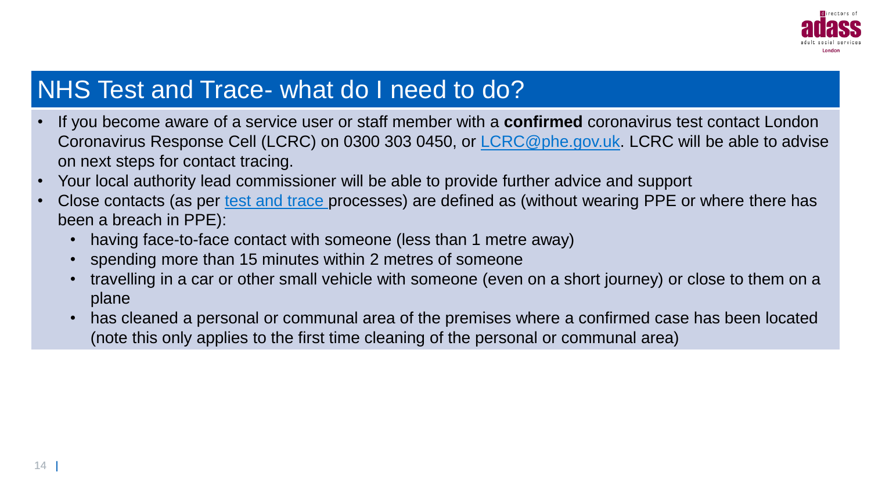

## NHS Test and Trace- what do I need to do?

- If you become aware of a service user or staff member with a **confirmed** coronavirus test contact London Coronavirus Response Cell (LCRC) on 0300 303 0450, or [LCRC@phe.gov.uk.](mailto:LCRC@phe.gov.uk) LCRC will be able to advise on next steps for contact tracing.
- Your local authority lead commissioner will be able to provide further advice and support
- Close contacts (as per [test and trace p](https://www.gov.uk/guidance/nhs-test-and-trace-how-it-works)rocesses) are defined as (without wearing PPE or where there has been a breach in PPE):
	- having face-to-face contact with someone (less than 1 metre away)
	- spending more than 15 minutes within 2 metres of someone
	- travelling in a car or other small vehicle with someone (even on a short journey) or close to them on a plane
	- has cleaned a personal or communal area of the premises where a confirmed case has been located (note this only applies to the first time cleaning of the personal or communal area)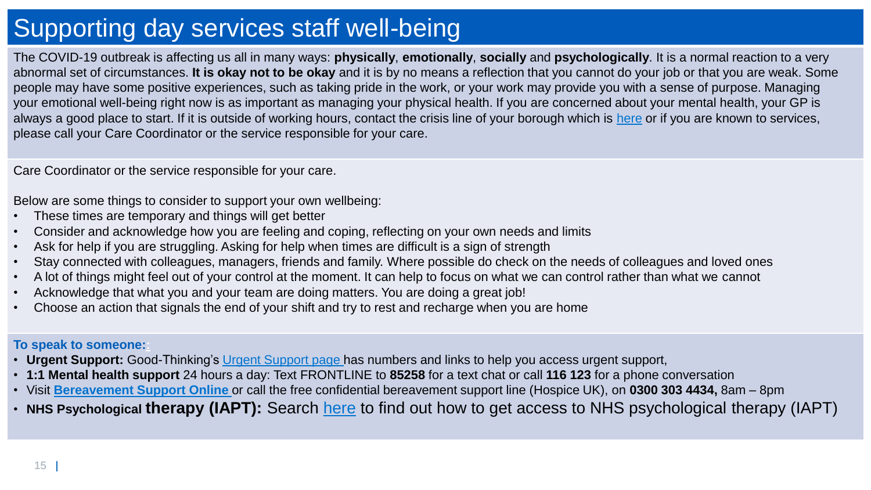# Supporting day services staff well-being

The COVID-19 outbreak is affecting us all in many ways: **physically**, **emotionally**, **socially** and **psychologically**. It is a normal reaction to a very abnormal set of circumstances. **It is okay not to be okay** and it is by no means a reflection that you cannot do your job or that you are weak. Some people may have some positive experiences, such as taking pride in the work, or your work may provide you with a sense of purpose. Managing your emotional well-being right now is as important as managing your physical health. If you are concerned about your mental health, your GP is always a good place to start. If it is outside of working hours, contact the crisis line of your borough which is [here](https://www.good-thinking.uk/resources/your-local-crisis-line/) or if you are known to services, please call your Care Coordinator or the service responsible for your care.

Care Coordinator or the service responsible for your care.

Below are some things to consider to support your own wellbeing:

- These times are temporary and things will get better
- Consider and acknowledge how you are feeling and coping, reflecting on your own needs and limits
- Ask for help if you are struggling. Asking for help when times are difficult is a sign of strength
- Stay connected with colleagues, managers, friends and family. Where possible do check on the needs of colleagues and loved ones
- A lot of things might feel out of your control at the moment. It can help to focus on what we can control rather than what we cannot
- Acknowledge that what you and your team are doing matters. You are doing a great job!
- Choose an action that signals the end of your shift and try to rest and recharge when you are home

#### **To speak to someone::**

- **Urgent Support:** Good-Thinking's [Urgent Support page h](https://www.good-thinking.uk/urgent-support/)as numbers and links to help you access urgent support,
- **1:1 Mental health support** 24 hours a day: Text FRONTLINE to **85258** for a text chat or call **116 123** for a phone conversation
- Visit **[Bereavement Support Online](https://people.nhs.uk/guides/bereavement-support-during-covid-19/)** or call the free confidential bereavement support line (Hospice UK), on **0300 303 4434,** 8am 8pm
- **NHS Psychological therapy (IAPT):** Search [here](http://www.nhs.uk/service-search/other-services/Psychological%20therapy%20(NHS%20IAPT)/LocationSearch/396) to find out how to get access to NHS psychological therapy (IAPT)